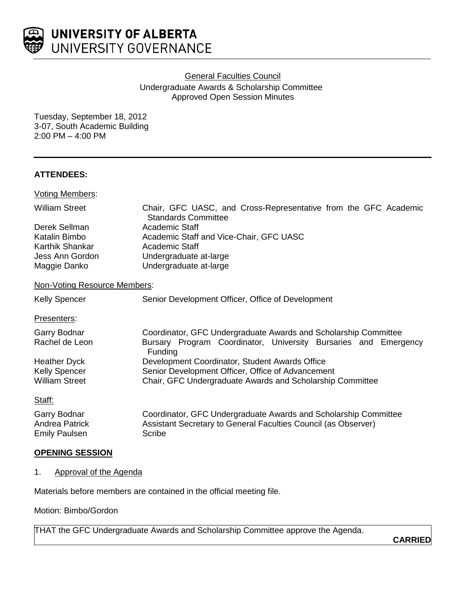

General Faculties Council

Undergraduate Awards & Scholarship Committee Approved Open Session Minutes

Tuesday, September 18, 2012 3-07, South Academic Building 2:00 PM – 4:00 PM

## **ATTENDEES:**

| <b>Voting Members:</b>       |                                                                                               |
|------------------------------|-----------------------------------------------------------------------------------------------|
| <b>William Street</b>        | Chair, GFC UASC, and Cross-Representative from the GFC Academic<br><b>Standards Committee</b> |
| Derek Sellman                | Academic Staff                                                                                |
| Katalin Bimbo                | Academic Staff and Vice-Chair, GFC UASC                                                       |
| Karthik Shankar              | Academic Staff                                                                                |
| Jess Ann Gordon              | Undergraduate at-large                                                                        |
| Maggie Danko                 | Undergraduate at-large                                                                        |
| Non-Voting Resource Members: |                                                                                               |
| <b>Kelly Spencer</b>         | Senior Development Officer, Office of Development                                             |
| Presenters:                  |                                                                                               |
| Garry Bodnar                 | Coordinator, GFC Undergraduate Awards and Scholarship Committee                               |
| Rachel de Leon               | Bursary Program Coordinator, University Bursaries and Emergency<br>Funding                    |
| <b>Heather Dyck</b>          | Development Coordinator, Student Awards Office                                                |
| <b>Kelly Spencer</b>         | Senior Development Officer, Office of Advancement                                             |
| <b>William Street</b>        | Chair, GFC Undergraduate Awards and Scholarship Committee                                     |
| Staff:                       |                                                                                               |
| Garry Bodnar                 | Coordinator, GFC Undergraduate Awards and Scholarship Committee                               |
| <b>Andrea Patrick</b>        | Assistant Secretary to General Faculties Council (as Observer)                                |
| Emily Paulsen                | Scribe                                                                                        |

## **OPENING SESSION**

**Emily Paulsen** 

## 1. Approval of the Agenda

Materials before members are contained in the official meeting file.

Motion: Bimbo/Gordon

THAT the GFC Undergraduate Awards and Scholarship Committee approve the Agenda.

**CARRIED**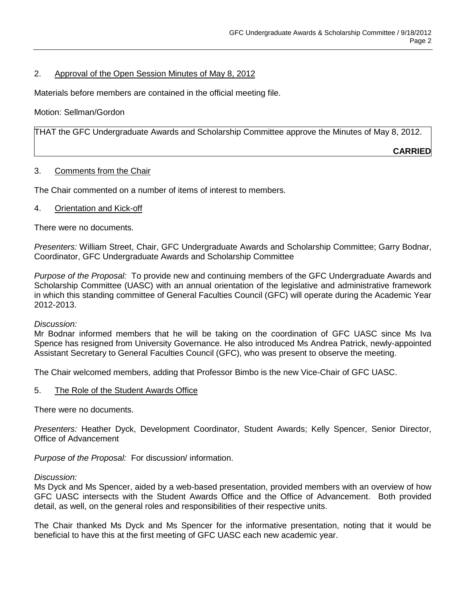## 2. Approval of the Open Session Minutes of May 8, 2012

Materials before members are contained in the official meeting file.

## Motion: Sellman/Gordon

THAT the GFC Undergraduate Awards and Scholarship Committee approve the Minutes of May 8, 2012.

**CARRIED**

## 3. Comments from the Chair

The Chair commented on a number of items of interest to members.

## 4. Orientation and Kick-off

There were no documents.

*Presenters:* William Street, Chair, GFC Undergraduate Awards and Scholarship Committee; Garry Bodnar, Coordinator, GFC Undergraduate Awards and Scholarship Committee

*Purpose of the Proposal:* To provide new and continuing members of the GFC Undergraduate Awards and Scholarship Committee (UASC) with an annual orientation of the legislative and administrative framework in which this standing committee of General Faculties Council (GFC) will operate during the Academic Year 2012-2013.

## *Discussion:*

Mr Bodnar informed members that he will be taking on the coordination of GFC UASC since Ms Iva Spence has resigned from University Governance. He also introduced Ms Andrea Patrick, newly-appointed Assistant Secretary to General Faculties Council (GFC), who was present to observe the meeting.

The Chair welcomed members, adding that Professor Bimbo is the new Vice-Chair of GFC UASC.

## 5. The Role of the Student Awards Office

There were no documents.

*Presenters:* Heather Dyck, Development Coordinator, Student Awards; Kelly Spencer, Senior Director, Office of Advancement

*Purpose of the Proposal:* For discussion/ information.

## *Discussion:*

Ms Dyck and Ms Spencer, aided by a web-based presentation, provided members with an overview of how GFC UASC intersects with the Student Awards Office and the Office of Advancement. Both provided detail, as well, on the general roles and responsibilities of their respective units.

The Chair thanked Ms Dyck and Ms Spencer for the informative presentation, noting that it would be beneficial to have this at the first meeting of GFC UASC each new academic year.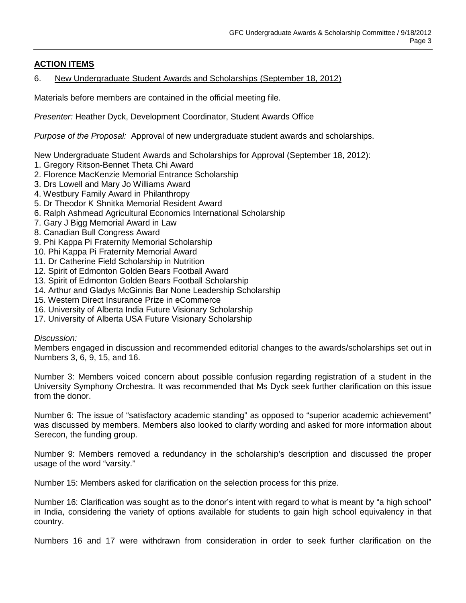# **ACTION ITEMS**

## 6. New Undergraduate Student Awards and Scholarships (September 18, 2012)

Materials before members are contained in the official meeting file.

*Presenter:* Heather Dyck, Development Coordinator, Student Awards Office

*Purpose of the Proposal:* Approval of new undergraduate student awards and scholarships.

New Undergraduate Student Awards and Scholarships for Approval (September 18, 2012):

- 1. Gregory Ritson-Bennet Theta Chi Award
- 2. Florence MacKenzie Memorial Entrance Scholarship
- 3. Drs Lowell and Mary Jo Williams Award
- 4. Westbury Family Award in Philanthropy
- 5. Dr Theodor K Shnitka Memorial Resident Award
- 6. Ralph Ashmead Agricultural Economics International Scholarship
- 7. Gary J Bigg Memorial Award in Law
- 8. Canadian Bull Congress Award
- 9. Phi Kappa Pi Fraternity Memorial Scholarship
- 10. Phi Kappa Pi Fraternity Memorial Award
- 11. Dr Catherine Field Scholarship in Nutrition
- 12. Spirit of Edmonton Golden Bears Football Award
- 13. Spirit of Edmonton Golden Bears Football Scholarship
- 14. Arthur and Gladys McGinnis Bar None Leadership Scholarship
- 15. Western Direct Insurance Prize in eCommerce
- 16. University of Alberta India Future Visionary Scholarship
- 17. University of Alberta USA Future Visionary Scholarship

## *Discussion:*

Members engaged in discussion and recommended editorial changes to the awards/scholarships set out in Numbers 3, 6, 9, 15, and 16.

Number 3: Members voiced concern about possible confusion regarding registration of a student in the University Symphony Orchestra. It was recommended that Ms Dyck seek further clarification on this issue from the donor.

Number 6: The issue of "satisfactory academic standing" as opposed to "superior academic achievement" was discussed by members. Members also looked to clarify wording and asked for more information about Serecon, the funding group.

Number 9: Members removed a redundancy in the scholarship's description and discussed the proper usage of the word "varsity."

Number 15: Members asked for clarification on the selection process for this prize.

Number 16: Clarification was sought as to the donor's intent with regard to what is meant by "a high school" in India, considering the variety of options available for students to gain high school equivalency in that country.

Numbers 16 and 17 were withdrawn from consideration in order to seek further clarification on the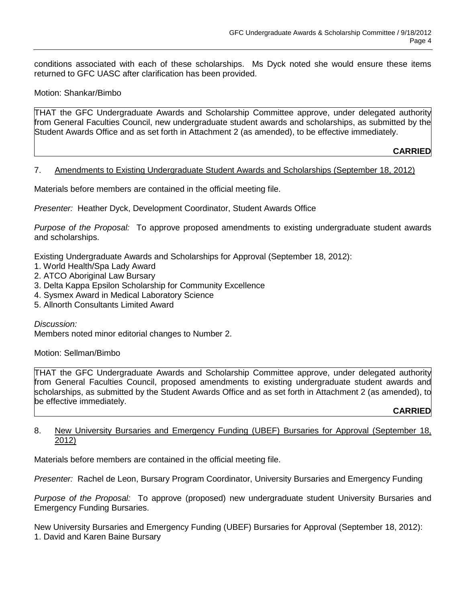conditions associated with each of these scholarships. Ms Dyck noted she would ensure these items returned to GFC UASC after clarification has been provided.

Motion: Shankar/Bimbo

THAT the GFC Undergraduate Awards and Scholarship Committee approve, under delegated authority from General Faculties Council, new undergraduate student awards and scholarships, as submitted by the Student Awards Office and as set forth in Attachment 2 (as amended), to be effective immediately.

**CARRIED**

#### 7. Amendments to Existing Undergraduate Student Awards and Scholarships (September 18, 2012)

Materials before members are contained in the official meeting file.

*Presenter:* Heather Dyck, Development Coordinator, Student Awards Office

*Purpose of the Proposal:* To approve proposed amendments to existing undergraduate student awards and scholarships.

Existing Undergraduate Awards and Scholarships for Approval (September 18, 2012):

- 1. World Health/Spa Lady Award
- 2. ATCO Aboriginal Law Bursary
- 3. Delta Kappa Epsilon Scholarship for Community Excellence
- 4. Sysmex Award in Medical Laboratory Science
- 5. Allnorth Consultants Limited Award

*Discussion:*

Members noted minor editorial changes to Number 2.

Motion: Sellman/Bimbo

THAT the GFC Undergraduate Awards and Scholarship Committee approve, under delegated authority from General Faculties Council, proposed amendments to existing undergraduate student awards and scholarships, as submitted by the Student Awards Office and as set forth in Attachment 2 (as amended), to be effective immediately.

## **CARRIED**

## 8. New University Bursaries and Emergency Funding (UBEF) Bursaries for Approval (September 18, 2012)

Materials before members are contained in the official meeting file.

*Presenter:* Rachel de Leon, Bursary Program Coordinator, University Bursaries and Emergency Funding

*Purpose of the Proposal:* To approve (proposed) new undergraduate student University Bursaries and Emergency Funding Bursaries.

New University Bursaries and Emergency Funding (UBEF) Bursaries for Approval (September 18, 2012): 1. David and Karen Baine Bursary